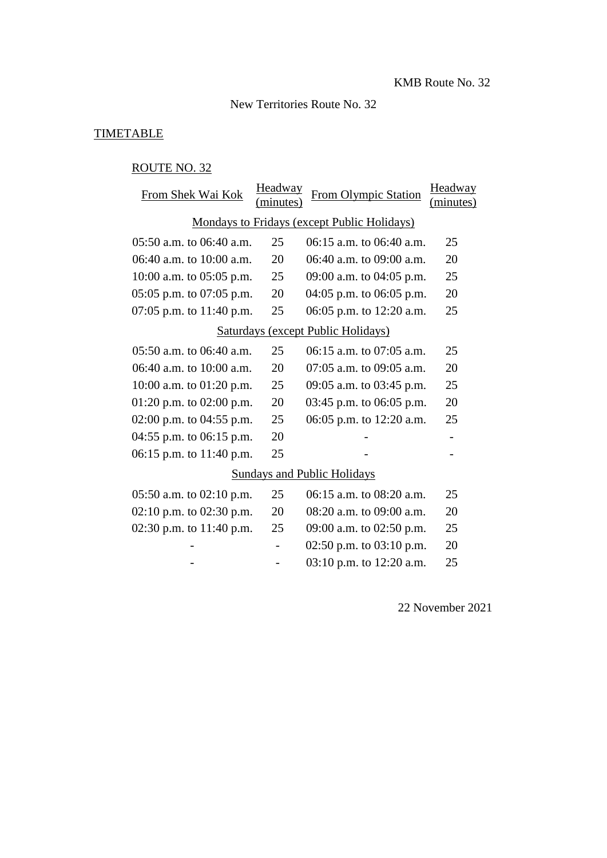### New Territories Route No. 32

#### **TIMETABLE**

### ROUTE NO. 32

| From Shek Wai Kok                           | Headway<br>(minutes) | From Olympic Station       | Headway<br>(minutes) |  |  |  |  |
|---------------------------------------------|----------------------|----------------------------|----------------------|--|--|--|--|
| Mondays to Fridays (except Public Holidays) |                      |                            |                      |  |  |  |  |
| 05:50 a.m. to 06:40 a.m.                    | 25                   | 06:15 a.m. to 06:40 a.m.   | 25                   |  |  |  |  |
| 06:40 a.m. to 10:00 a.m.                    | 20                   | 06:40 a.m. to 09:00 a.m.   | 20                   |  |  |  |  |
| 10:00 a.m. to $05:05$ p.m.                  | 25                   | 09:00 a.m. to 04:05 p.m.   | 25                   |  |  |  |  |
| $05:05$ p.m. to $07:05$ p.m.                | 20                   | 04:05 p.m. to $06:05$ p.m. | 20                   |  |  |  |  |
| 07:05 p.m. to $11:40$ p.m.                  | 25                   | 06:05 p.m. to 12:20 a.m.   | 25                   |  |  |  |  |
| Saturdays (except Public Holidays)          |                      |                            |                      |  |  |  |  |
| 05:50 a.m. to 06:40 a.m.                    | 25                   | 06:15 a.m. to 07:05 a.m.   | 25                   |  |  |  |  |
| 06:40 a.m. to 10:00 a.m.                    | 20                   | 07:05 a.m. to 09:05 a.m.   | 20                   |  |  |  |  |
| 10:00 a.m. to $01:20$ p.m.                  | 25                   | 09:05 a.m. to 03:45 p.m.   | 25                   |  |  |  |  |
| 01:20 p.m. to 02:00 p.m.                    | 20                   | 03:45 p.m. to 06:05 p.m.   | 20                   |  |  |  |  |
| 02:00 p.m. to $04:55$ p.m.                  | 25                   | 06:05 p.m. to 12:20 a.m.   | 25                   |  |  |  |  |
| 04:55 p.m. to 06:15 p.m.                    | 20                   |                            |                      |  |  |  |  |
| 06:15 p.m. to 11:40 p.m.                    | 25                   |                            |                      |  |  |  |  |
| <b>Sundays and Public Holidays</b>          |                      |                            |                      |  |  |  |  |
| 05:50 a.m. to 02:10 p.m.                    | 25                   | 06:15 a.m. to 08:20 a.m.   | 25                   |  |  |  |  |
| 02:10 p.m. to 02:30 p.m.                    | 20                   | 08:20 a.m. to 09:00 a.m.   | 20                   |  |  |  |  |
| 02:30 p.m. to $11:40$ p.m.                  | 25                   | 09:00 a.m. to 02:50 p.m.   | 25                   |  |  |  |  |
|                                             |                      | 02:50 p.m. to $03:10$ p.m. | 20                   |  |  |  |  |
|                                             |                      | 03:10 p.m. to 12:20 a.m.   | 25                   |  |  |  |  |

22 November 2021